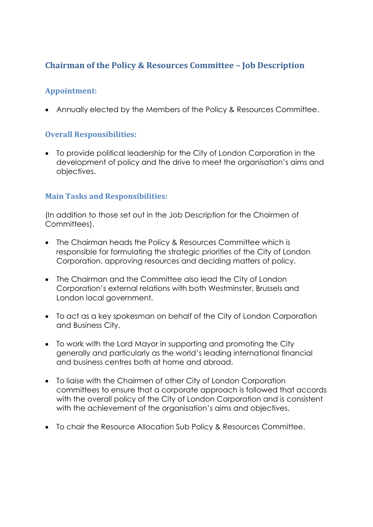## **Chairman of the Policy & Resources Committee – Job Description**

### **Appointment:**

Annually elected by the Members of the Policy & Resources Committee.

### **Overall Responsibilities:**

 To provide political leadership for the City of London Corporation in the development of policy and the drive to meet the organisation's aims and objectives.

### **Main Tasks and Responsibilities:**

(In addition to those set out in the Job Description for the Chairmen of Committees).

- The Chairman heads the Policy & Resources Committee which is responsible for formulating the strategic priorities of the City of London Corporation, approving resources and deciding matters of policy.
- The Chairman and the Committee also lead the City of London Corporation's external relations with both Westminster, Brussels and London local government.
- To act as a key spokesman on behalf of the City of London Corporation and Business City.
- To work with the Lord Mayor in supporting and promoting the City generally and particularly as the world's leading international financial and business centres both at home and abroad.
- To liaise with the Chairmen of other City of London Corporation committees to ensure that a corporate approach is followed that accords with the overall policy of the City of London Corporation and is consistent with the achievement of the organisation's aims and objectives.
- To chair the Resource Allocation Sub Policy & Resources Committee.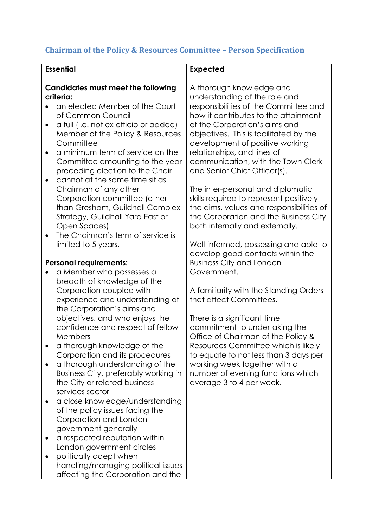# **Chairman of the Policy & Resources Committee – Person Specification**

| <b>Essential</b>                                                                                                                                                                               | <b>Expected</b>                                                                                                                                                                                      |
|------------------------------------------------------------------------------------------------------------------------------------------------------------------------------------------------|------------------------------------------------------------------------------------------------------------------------------------------------------------------------------------------------------|
| <b>Candidates must meet the following</b><br>criteria:<br>an elected Member of the Court<br>of Common Council                                                                                  | A thorough knowledge and<br>understanding of the role and<br>responsibilities of the Committee and<br>how it contributes to the attainment                                                           |
| a full (i.e. not ex officio or added)<br>$\bullet$<br>Member of the Policy & Resources<br>Committee                                                                                            | of the Corporation's aims and<br>objectives. This is facilitated by the<br>development of positive working                                                                                           |
| a minimum term of service on the<br>$\bullet$<br>Committee amounting to the year<br>preceding election to the Chair<br>cannot at the same time sit as<br>$\bullet$                             | relationships, and lines of<br>communication, with the Town Clerk<br>and Senior Chief Officer(s).                                                                                                    |
| Chairman of any other<br>Corporation committee (other<br>than Gresham, Guildhall Complex<br>Strategy, Guildhall Yard East or<br>Open Spaces)<br>The Chairman's term of service is<br>$\bullet$ | The inter-personal and diplomatic<br>skills required to represent positively<br>the aims, values and responsibilities of<br>the Corporation and the Business City<br>both internally and externally. |
| limited to 5 years.                                                                                                                                                                            | Well-informed, possessing and able to<br>develop good contacts within the                                                                                                                            |
| <b>Personal requirements:</b><br>a Member who possesses a                                                                                                                                      | <b>Business City and London</b><br>Government.                                                                                                                                                       |
| breadth of knowledge of the<br>Corporation coupled with<br>experience and understanding of<br>the Corporation's aims and                                                                       | A familiarity with the Standing Orders<br>that affect Committees.                                                                                                                                    |
| objectives, and who enjoys the<br>confidence and respect of fellow<br>Members                                                                                                                  | There is a significant time<br>commitment to undertaking the<br>Office of Chairman of the Policy &                                                                                                   |
| a thorough knowledge of the<br>Corporation and its procedures                                                                                                                                  | Resources Committee which is likely<br>to equate to not less than 3 days per                                                                                                                         |
| a thorough understanding of the<br>Business City, preferably working in<br>the City or related business<br>services sector                                                                     | working week together with a<br>number of evening functions which<br>average 3 to 4 per week.                                                                                                        |
| a close knowledge/understanding<br>of the policy issues facing the<br>Corporation and London<br>government generally                                                                           |                                                                                                                                                                                                      |
| a respected reputation within<br>London government circles                                                                                                                                     |                                                                                                                                                                                                      |
| politically adept when<br>handling/managing political issues<br>affecting the Corporation and the                                                                                              |                                                                                                                                                                                                      |